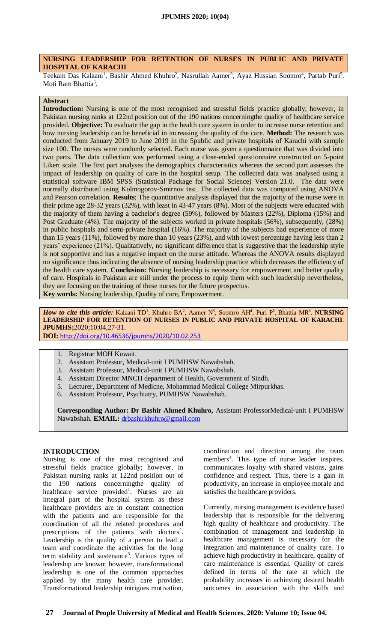## **NURSING LEADERSHIP FOR RETENTION OF NURSES IN PUBLIC AND PRIVATE HOSPITAL OF KARACHI**

Teekam Das Kalaani<sup>1</sup>, Bashir Ahmed Khuhro<sup>2</sup>, Nasrullah Aamer<sup>3</sup>, Ayaz Hussian Soomro<sup>4</sup>, Partab Puri<sup>5</sup>, Moti Ram Bhattia<sup>6</sup>.

## **Abstract**

**Introduction:** Nursing is one of the most recognised and stressful fields practice globally; however, in Pakistan nursing ranks at 122nd position out of the 190 nations concerningthe quality of healthcare service provided. **Objective:** To evaluate the gap in the health care system in order to increase nurse retention and how nursing leadership can be beneficial in increasing the quality of the care. **Method:** The research was conducted from January 2019 to June 2019 in the 5public and private hospitals of Karachi with sample size 100. The nurses were randomly selected. Each nurse was given a questionnaire that was divided into two parts. The data collection was performed using a close-ended questionnaire constructed on 5-point Likert scale. The first part analyses the demographics characteristics whereas the second part assesses the impact of leadership on quality of care in the hospital setup. The collected data was analysed using a statistical software IBM SPSS (Statistical Package for Social Science) Version 21.0. The data were normally distributed using Kolmogorov-Smirnov test. The collected data was computed using ANOVA and Pearson correlation. **Results**; The quantitative analysis displayed that the majority of the nurse were in their prime age 28-32 years (32%), with least in 43-47 years (8%). Most of the subjects were educated with the majority of them having a bachelor's degree (59%), followed by Masters (22%), Diploma (15%) and Post Graduate (4%). The majority of the subjects worked in private hospitals (56%), subsequently, (28%) in public hospitals and semi-private hospital (16%). The majority of the subjects had experience of more than 15 years (11%), followed by more than 10 years (23%), and with lowest percentage having less than 2 years' experience (21%). Qualitatively, no significant difference that is suggestive that the leadership style is not supportive and has a negative impact on the nurse attitude. Whereas the ANOVA results displayed no significance thus indicating the absence of nursing leadership practice which decreases the efficiency of the health care system. **Conclusion:** Nursing leadership is necessary for empowerment and better quality of care. Hospitals in Pakistan are still under the process to equip them with such leadership nevertheless, they are focusing on the training of these nurses for the future prospectus.

**Key words:** Nursing leadership, Quality of care, Empowerment.

*How to cite this article:* Kalaani TD<sup>1</sup>, Khuhro BA<sup>2</sup>, Aamer N<sup>3</sup>, Soomro AH<sup>4</sup>, Puri P<sup>5</sup>, Bhattia MR<sup>6</sup>. NURSING **LEADERSHIP FOR RETENTION OF NURSES IN PUBLIC AND PRIVATE HOSPITAL OF KARACHI**. **JPUMHS;**2020;10:04,27-31.

**DOI:** <http://doi.org/10.46536/jpumhs/2020/10.02.253>

- 1. Registrar MOH Kuwait.
- 2. Assistant Professor, Medical-unit I PUMHSW Nawabshah.
- 3. Assistant Professor, Medical-unit I PUMHSW Nawabshah.
- 4. Assistant Director MNCH department of Health, Government of Sindh.
- 5. Lecturer, Department of Medicne, Mohammad Medical College Mirpurkhas.
- 6. Assistant Professor, Psychiatry, PUMHSW Nawabshah.

**Corresponding Author: Dr Bashir Ahmed Khuhro,** Assistant ProfessorMedical-unit I PUMHSW Nawabshah. **EMAIL:** [drbashirkhuhro@gmail.com](mailto:drbashirkhuhro@gmail.com)

## **INTRODUCTION**

Nursing is one of the most recognised and stressful fields practice globally; however, in Pakistan nursing ranks at 122nd position out of the 190 nations concerningthe quality of healthcare service provided<sup>1</sup>. Nurses are an integral part of the hospital system as these healthcare providers are in constant connection with the patients and are responsible for the coordination of all the related procedures and prescriptions of the patients with doctors<sup>2</sup>. Leadership is the quality of a person to lead a team and coordinate the activities for the long term stability and sustenance<sup>3</sup>. Various types of leadership are known; however, transformational leadership is one of the common approaches applied by the many health care provider. Transformational leadership intrigues motivation,

coordination and direction among the team members<sup>4</sup>. This type of nurse leader inspires, communicates loyalty with shared visions, gains confidence and respect. Thus, there is a gain in productivity, an increase in employee morale and satisfies the healthcare providers.

Currently, nursing management is evidence based leadership that is responsible for the delivering high quality of healthcare and productivity. The combination of management and leadership in healthcare management is necessary for the integration and maintenance of quality care. To achieve high productivity in healthcare, quality of care maintenance is essential. Quality of careis defined in terms of the rate at which the probability increases in achieving desired health outcomes in association with the skills and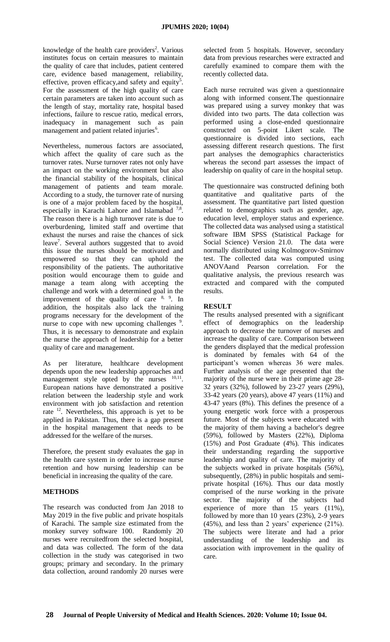knowledge of the health care providers<sup>2</sup>. Various institutes focus on certain measures to maintain the quality of care that includes, patient centered care, evidence based management, reliability, effective, proven efficacy, and safety and equity<sup>5</sup>. For the assessment of the high quality of care certain parameters are taken into account such as the length of stay, mortality rate, hospital based infections, failure to rescue ratio, medical errors, inadequacy in management such as pain management and patient related injuries<sup>6</sup>.

Nevertheless, numerous factors are associated, which affect the quality of care such as the turnover rates. Nurse turnover rates not only have an impact on the working environment but also the financial stability of the hospitals, clinical management of patients and team morale. According to a study, the turnover rate of nursing is one of a major problem faced by the hospital, especially in Karachi Lahore and Islamabad<sup>7,8</sup>. The reason there is a high turnover rate is due to overburdening, limited staff and overtime that exhaust the nurses and raise the chances of sick leave<sup>7</sup>. Several authors suggested that to avoid this issue the nurses should be motivated and empowered so that they can uphold the responsibility of the patients. The authoritative position would encourage them to guide and manage a team along with accepting the challenge and work with a determined goal in the improvement of the quality of care  $8, 9$ . In addition, the hospitals also lack the training programs necessary for the development of the nurse to cope with new upcoming challenges <sup>9</sup>. Thus, it is necessary to demonstrate and explain the nurse the approach of leadership for a better quality of care and management.

As per literature, healthcare development depends upon the new leadership approaches and management style opted by the nurses  $^{10,11}$ . European nations have demonstrated a positive relation between the leadership style and work environment with job satisfaction and retention rate <sup>12</sup>. Nevertheless, this approach is yet to be applied in Pakistan. Thus, there is a gap present in the hospital management that needs to be addressed for the welfare of the nurses.

Therefore, the present study evaluates the gap in the health care system in order to increase nurse retention and how nursing leadership can be beneficial in increasing the quality of the care.

# **METHODS**

The research was conducted from Jan 2018 to May 2019 in the five public and private hospitals of Karachi. The sample size estimated from the monkey survey software 100. Randomly 20 nurses were recruitedfrom the selected hospital, and data was collected. The form of the data collection in the study was categorised in two groups; primary and secondary. In the primary data collection, around randomly 20 nurses were

selected from 5 hospitals. However, secondary data from previous researches were extracted and carefully examined to compare them with the recently collected data.

Each nurse recruited was given a questionnaire along with informed consent.The questionnaire was prepared using a survey monkey that was divided into two parts. The data collection was performed using a close-ended questionnaire constructed on 5-point Likert scale. The questionnaire is divided into sections, each assessing different research questions. The first part analyses the demographics characteristics whereas the second part assesses the impact of leadership on quality of care in the hospital setup.

The questionnaire was constructed defining both quantitative and qualitative parts of the assessment. The quantitative part listed question related to demographics such as gender, age, education level, employer status and experience. The collected data was analysed using a statistical software IBM SPSS (Statistical Package for Social Science) Version 21.0. The data were normally distributed using Kolmogorov-Smirnov test. The collected data was computed using ANOVAand Pearson correlation. For the qualitative analysis, the previous research was extracted and compared with the computed results.

## **RESULT**

The results analysed presented with a significant effect of demographics on the leadership approach to decrease the turnover of nurses and increase the quality of care. Comparison between the genders displayed that the medical profession is dominated by females with 64 of the participant's women whereas 36 were males. Further analysis of the age presented that the majority of the nurse were in their prime age 28- 32 years (32%), followed by 23-27 years (29%), 33-42 years (20 years), above 47 years (11%) and 43-47 years (8%). This defines the presence of a young energetic work force with a prosperous future. Most of the subjects were educated with the majority of them having a bachelor's degree (59%), followed by Masters (22%), Diploma (15%) and Post Graduate (4%). This indicates their understanding regarding the supportive leadership and quality of care. The majority of the subjects worked in private hospitals (56%), subsequently, (28%) in public hospitals and semiprivate hospital (16%). Thus our data mostly comprised of the nurse working in the private sector. The majority of the subjects had experience of more than 15 years (11%), followed by more than 10 years (23%), 2-9 years (45%), and less than 2 years' experience (21%). The subjects were literate and had a prior understanding of the leadership and its association with improvement in the quality of care.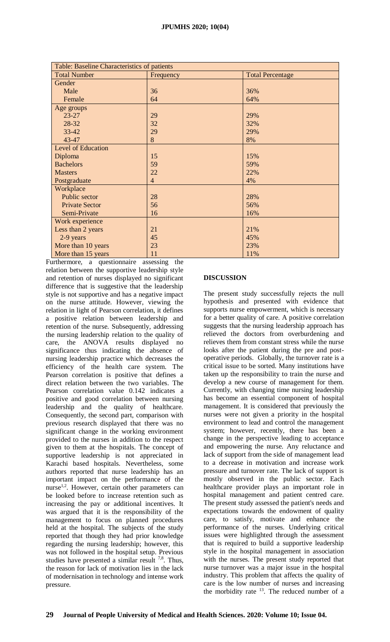| Table: Baseline Characteristics of patients |                |                         |
|---------------------------------------------|----------------|-------------------------|
| <b>Total Number</b>                         | Frequency      | <b>Total Percentage</b> |
| Gender                                      |                |                         |
| Male                                        | 36             | 36%                     |
| Female                                      | 64             | 64%                     |
| Age groups                                  |                |                         |
| $23 - 27$                                   | 29             | 29%                     |
| 28-32                                       | 32             | 32%                     |
| $33 - 42$                                   | 29             | 29%                     |
| 43-47                                       | 8              | 8%                      |
| <b>Level of Education</b>                   |                |                         |
| Diploma                                     | 15             | 15%                     |
| <b>Bachelors</b>                            | 59             | 59%                     |
| <b>Masters</b>                              | 22             | 22%                     |
| Postgraduate                                | $\overline{4}$ | 4%                      |
| Workplace                                   |                |                         |
| Public sector                               | 28             | 28%                     |
| <b>Private Sector</b>                       | 56             | 56%                     |
| Semi-Private                                | 16             | 16%                     |
| Work experience                             |                |                         |
| Less than 2 years                           | 21             | 21%                     |
| 2-9 years                                   | 45             | 45%                     |
| More than 10 years                          | 23             | 23%                     |
| More than 15 years                          | 11             | 11%                     |

Furthermore, a questionnaire assessing the relation between the supportive leadership style and retention of nurses displayed no significant difference that is suggestive that the leadership style is not supportive and has a negative impact on the nurse attitude. However, viewing the relation in light of Pearson correlation, it defines a positive relation between leadership and retention of the nurse. Subsequently, addressing the nursing leadership relation to the quality of care, the ANOVA results displayed no significance thus indicating the absence of nursing leadership practice which decreases the efficiency of the health care system. The Pearson correlation is positive that defines a direct relation between the two variables. The Pearson correlation value 0.142 indicates a positive and good correlation between nursing leadership and the quality of healthcare. Consequently, the second part, comparison with previous research displayed that there was no significant change in the working environment provided to the nurses in addition to the respect given to them at the hospitals. The concept of supportive leadership is not appreciated in Karachi based hospitals. Nevertheless, some authors reported that nurse leadership has an important impact on the performance of the nurse<sup>1,2</sup>. However, certain other parameters can be looked before to increase retention such as increasing the pay or additional incentives. It was argued that it is the responsibility of the management to focus on planned procedures held at the hospital. The subjects of the study reported that though they had prior knowledge regarding the nursing leadership; however, this was not followed in the hospital setup. Previous studies have presented a similar result  $^{7,8}$ . Thus, the reason for lack of motivation lies in the lack of modernisation in technology and intense work pressure.

## **DISCUSSION**

The present study successfully rejects the null hypothesis and presented with evidence that supports nurse empowerment, which is necessary for a better quality of care. A positive correlation suggests that the nursing leadership approach has relieved the doctors from overburdening and relieves them from constant stress while the nurse looks after the patient during the pre and postoperative periods. Globally, the turnover rate is a critical issue to be sorted. Many institutions have taken up the responsibility to train the nurse and develop a new course of management for them. Currently, with changing time nursing leadership has become an essential component of hospital management. It is considered that previously the nurses were not given a priority in the hospital environment to lead and control the management system; however, recently, there has been a change in the perspective leading to acceptance and empowering the nurse. Any reluctance and lack of support from the side of management lead to a decrease in motivation and increase work pressure and turnover rate. The lack of support is mostly observed in the public sector. Each healthcare provider plays an important role in hospital management and patient centred care. The present study assessed the patient's needs and expectations towards the endowment of quality care, to satisfy, motivate and enhance the performance of the nurses. Underlying critical issues were highlighted through the assessment that is required to build a supportive leadership style in the hospital management in association with the nurses. The present study reported that nurse turnover was a major issue in the hospital industry. This problem that affects the quality of care is the low number of nurses and increasing the morbidity rate  $13$ . The reduced number of a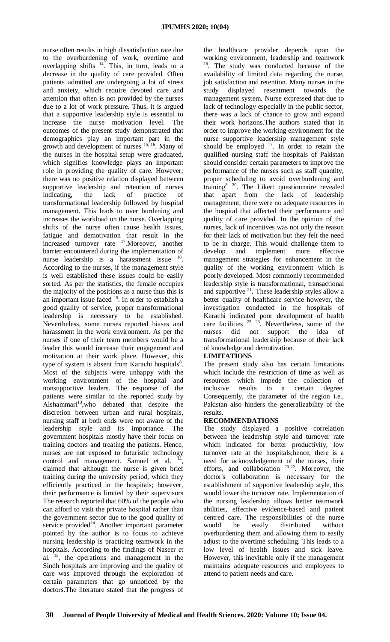nurse often results in high dissatisfaction rate due to the overburdening of work, overtime and overlapping shifts  $14$ . This, in turn, leads to a decrease in the quality of care provided. Often patients admitted are undergoing a lot of stress and anxiety, which require devoted care and attention that often is not provided by the nurses due to a lot of work pressure. Thus, it is argued that a supportive leadership style is essential to increase the nurse motivation level. The outcomes of the present study demonstrated that demographics play an important part in the growth and development of nurses <sup>15, 16</sup>. Many of the nurses in the hospital setup were graduated, which signifies knowledge plays an important role in providing the quality of care. However, there was no positive relation displayed between supportive leadership and retention of nurses indicating, the lack of practice of transformational leadership followed by hospital management. This leads to over burdening and increases the workload on the nurse. Overlapping shifts of the nurse often cause health issues, fatigue and demotivation that result in the increased turnover rate <sup>17</sup>. Moreover, another barrier encountered during the implementation of nurse leadership is a harassment issue <sup>18</sup>. According to the nurses, if the management style is well established these issues could be easily sorted. As per the statistics, the female occupies the majority of the positions as a nurse thus this is an important issue faced <sup>19</sup>. In order to establish a good quality of service, proper transformational leadership is necessary to be established. Nevertheless, some nurses reported biases and harassment in the work environment. As per the nurses if one of their team members would be a leader this would increase their engagement and motivation at their work place. However, this type of system is absent from Karachi hospitals<sup>8</sup>. Most of the subjects were unhappy with the working environment of the hospital and nonsupportive leaders. The response of the patients were similar to the reported study by Alshammari<sup>13</sup>, who debated that despite the discretion between urban and rural hospitals, nursing staff at both ends were not aware of the leadership style and its importance. The government hospitals mostly have their focus on training doctors and treating the patients. Hence, nurses are not exposed to futuristic technology control and management. Samuel et al. , claimed that although the nurse is given brief training during the university period, which they efficiently practiced in the hospitals; however, their performance is limited by their supervisors The research reported that 60% of the people who can afford to visit the private hospital rather than the government sector due to the good quality of service provided<sup>14</sup>. Another important parameter pointed by the author is to focus to achieve nursing leadership is practicing teamwork in the hospitals. According to the findings of Naseer et al. <sup>15</sup>, the operations and management in the Sindh hospitals are improving and the quality of care was improved through the exploration of certain parameters that go unnoticed by the doctors.The literature stated that the progress of

the healthcare provider depends upon the working environment, leadership and teamwork <sup>16</sup>. The study was conducted because of the availability of limited data regarding the nurse, job satisfaction and retention. Many nurses in the study displayed resentment towards the management system. Nurse expressed that due to lack of technology especially in the public sector, there was a lack of chance to grow and expand their work horizons.The authors stated that in order to improve the working environment for the nurse supportive leadership management style should be employed  $17$ . In order to retain the qualified nursing staff the hospitals of Pakistan should consider certain parameters to improve the performance of the nurses such as staff quantity, proper scheduling to avoid overburdening and training<sup>8, 20</sup>. The Likert questionnaire revealed that apart from the lack of leadership management, there were no adequate resources in the hospital that affected their performance and quality of care provided. In the opinion of the nurses, lack of incentives was not only the reason for their lack of motivation but they felt the need to be in charge. This would challenge them to develop and implement more effective management strategies for enhancement in the quality of the working environment which is poorly developed. Most commonly recommended leadership style is transformational, transactional and supportive <sup>21</sup>. These leadership styles allow a better quality of healthcare service however, the investigation conducted in the hospitals of Karachi indicated poor development of health care facilities  $22, 23$ . Nevertheless, some of the nurses did not support the idea of transformational leadership because of their lack of knowledge and demotivation.

# **LIMITATIONS**

The present study also has certain limitations which include the restriction of time as well as resources which impede the collection of inclusive results to a certain degree. Consequently, the parameter of the region i.e., Pakistan also hinders the generalizability of the results.

## **RECOMMENDATIONS**

The study displayed a positive correlation between the leadership style and turnover rate which indicated for better productivity, low turnover rate at the hospitals;hence, there is a need for acknowledgement of the nurses, their efforts, and collaboration  $20-22$ . Moreover, the doctor's collaboration is necessary for the establishment of supportive leadership style, this would lower the turnover rate. Implementation of the nursing leadership allows better teamwork abilities, effective evidence-based and patient centred care. The responsibilities of the nurse would be easily distributed without overburdening them and allowing them to easily adjust to the overtime scheduling. This leads to a low level of health issues and sick leave. However, this inevitable only if the management maintains adequate resources and employees to attend to patient needs and care.